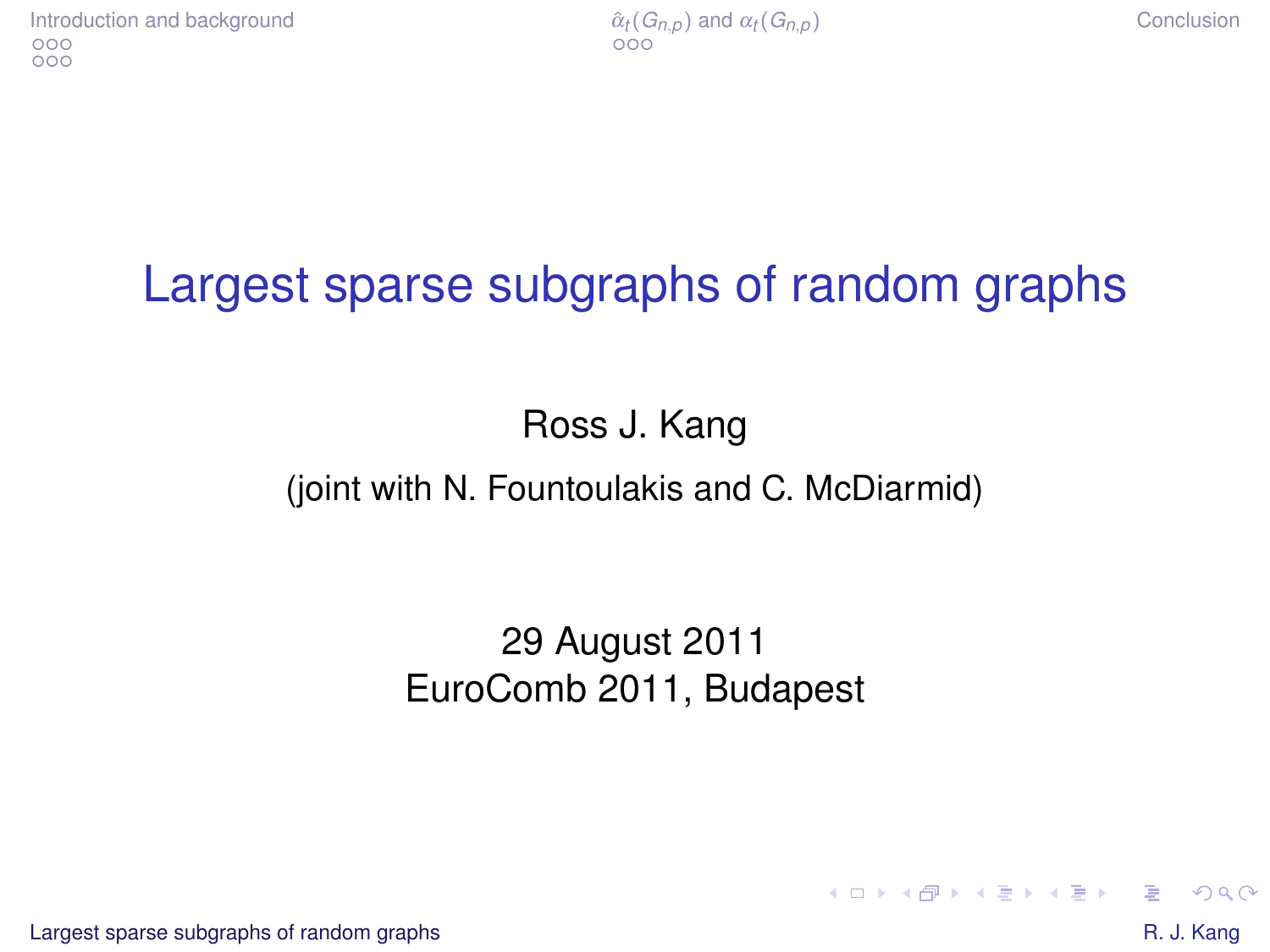# Largest sparse subgraphs of random graphs

Ross J. Kang

#### (joint with N. Fountoulakis and C. McDiarmid)

#### 29 August 2011 EuroComb 2011, Budapest

[Largest sparse subgraphs of random graphs](#page-12-0)  $\blacksquare$ 

<span id="page-0-0"></span>

 $QQ$ 

イロン イ押ン イミン イヨン ニヨー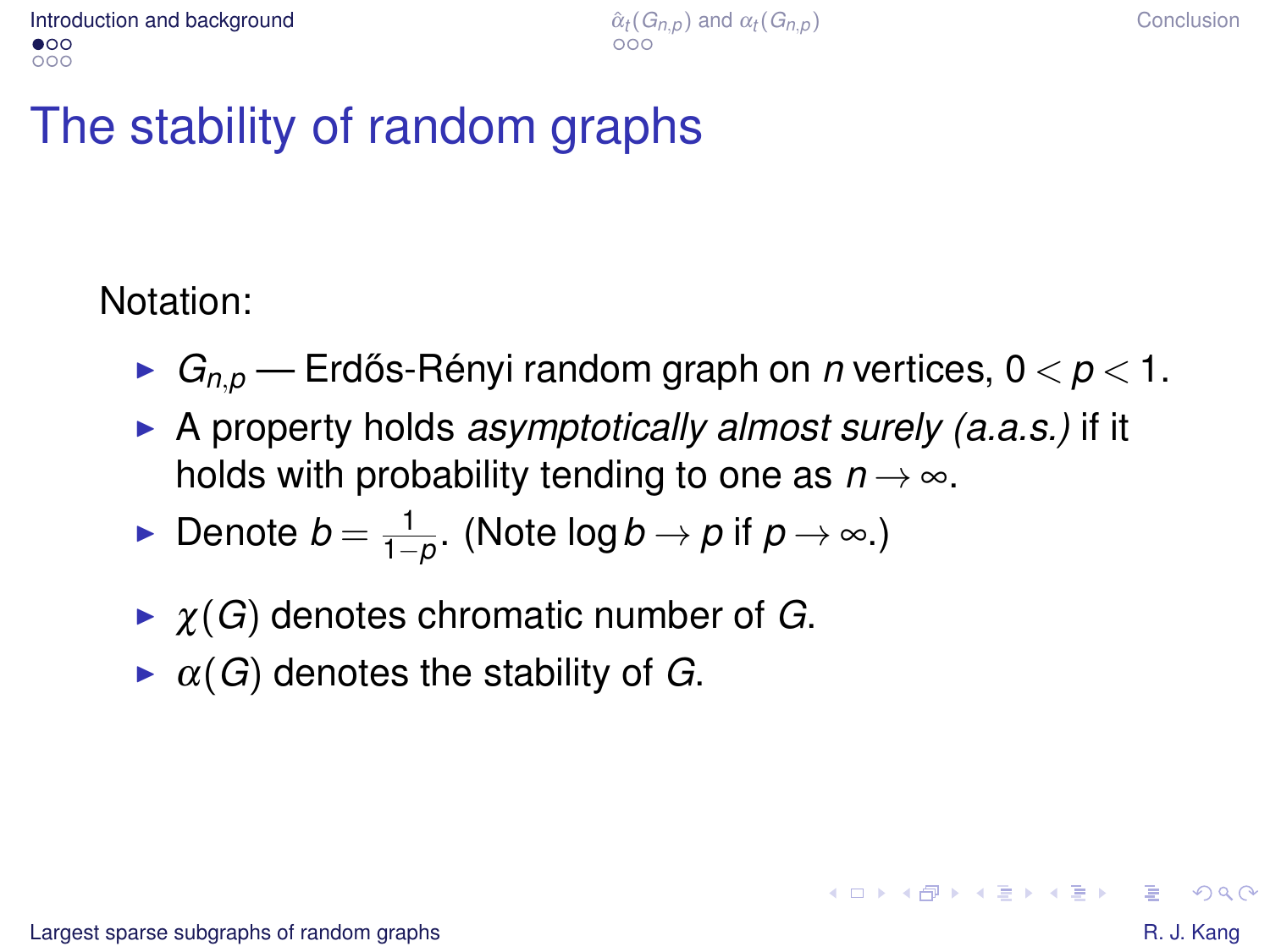# The stability of random graphs

#### Notation:

- $\blacktriangleright$   $G_{n,p}$  Erdős-Rényi random graph on *n* vertices,  $0 < p < 1$ .
- ▶ A property holds *asymptotically almost surely (a.a.s.)* if it holds with probability tending to one as  $n \rightarrow \infty$ .
- ► Denote  $b = \frac{1}{1-\rho}$ . (Note log  $b \to \rho$  if  $\rho \to \infty$ .)
- $\triangleright$   $\chi(G)$  denotes chromatic number of *G*.
- $\triangleright$   $\alpha(G)$  denotes the stability of *G*.

<span id="page-1-0"></span>KO KA KE KE KE KE YA G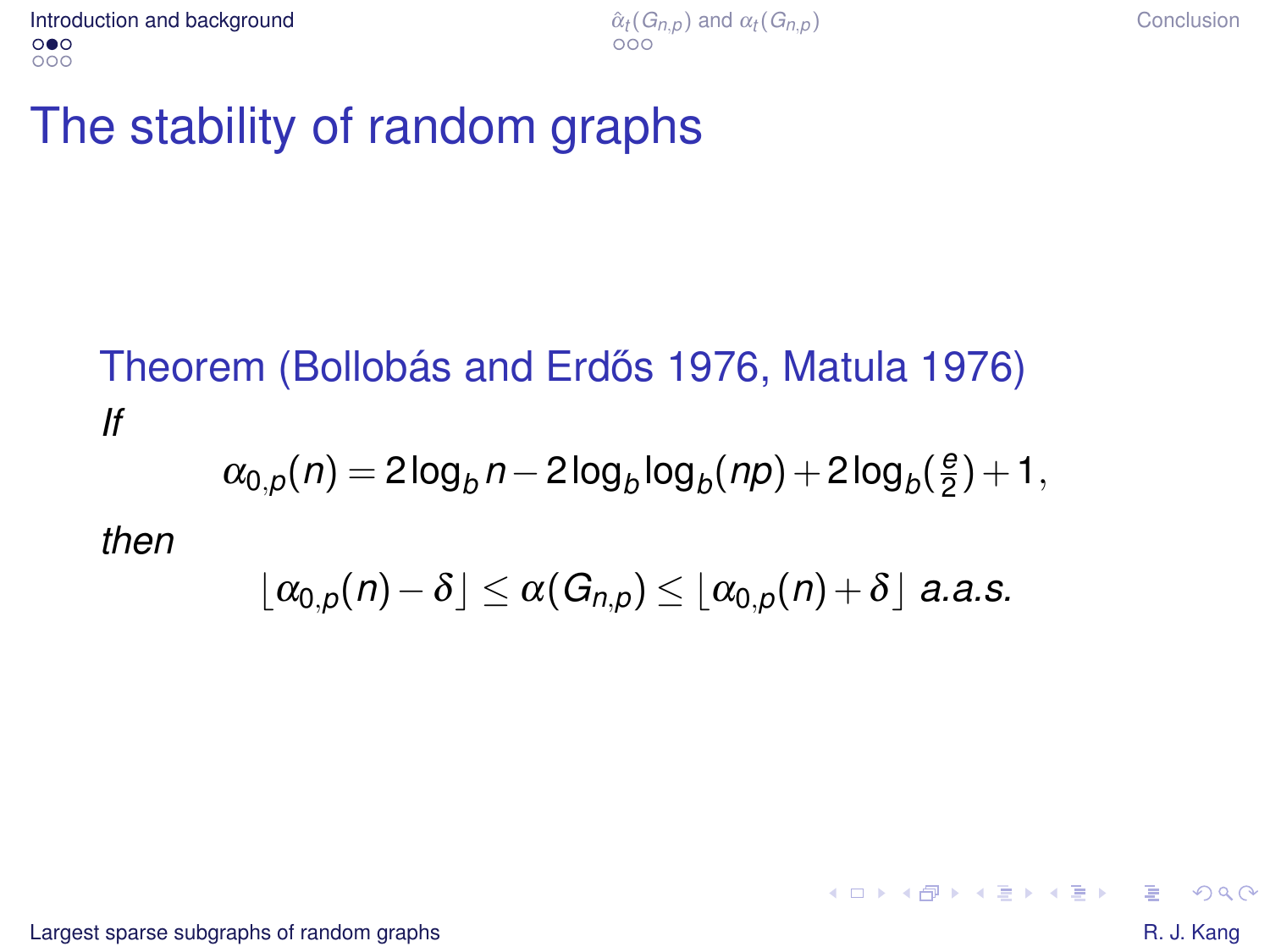## The stability of random graphs

#### Theorem (Bollobás and Erdős 1976, Matula 1976) *If*  $\alpha_{0,\rho}(n)=2\log_b{n}-2\log_b{\log_b(n\rho)}+2\log_b{(\frac{e}{2})}$  $(\frac{e}{2})+1,$ *then*  $|\alpha_{0,p}(n)-\delta|\leq \alpha(G_{n,p})\leq |\alpha_{0,p}(n)+\delta|$  *a.a.s.*

[Largest sparse subgraphs of random graphs](#page-0-0)  $\blacksquare$ 

KO KARK KEK KEK E YOKA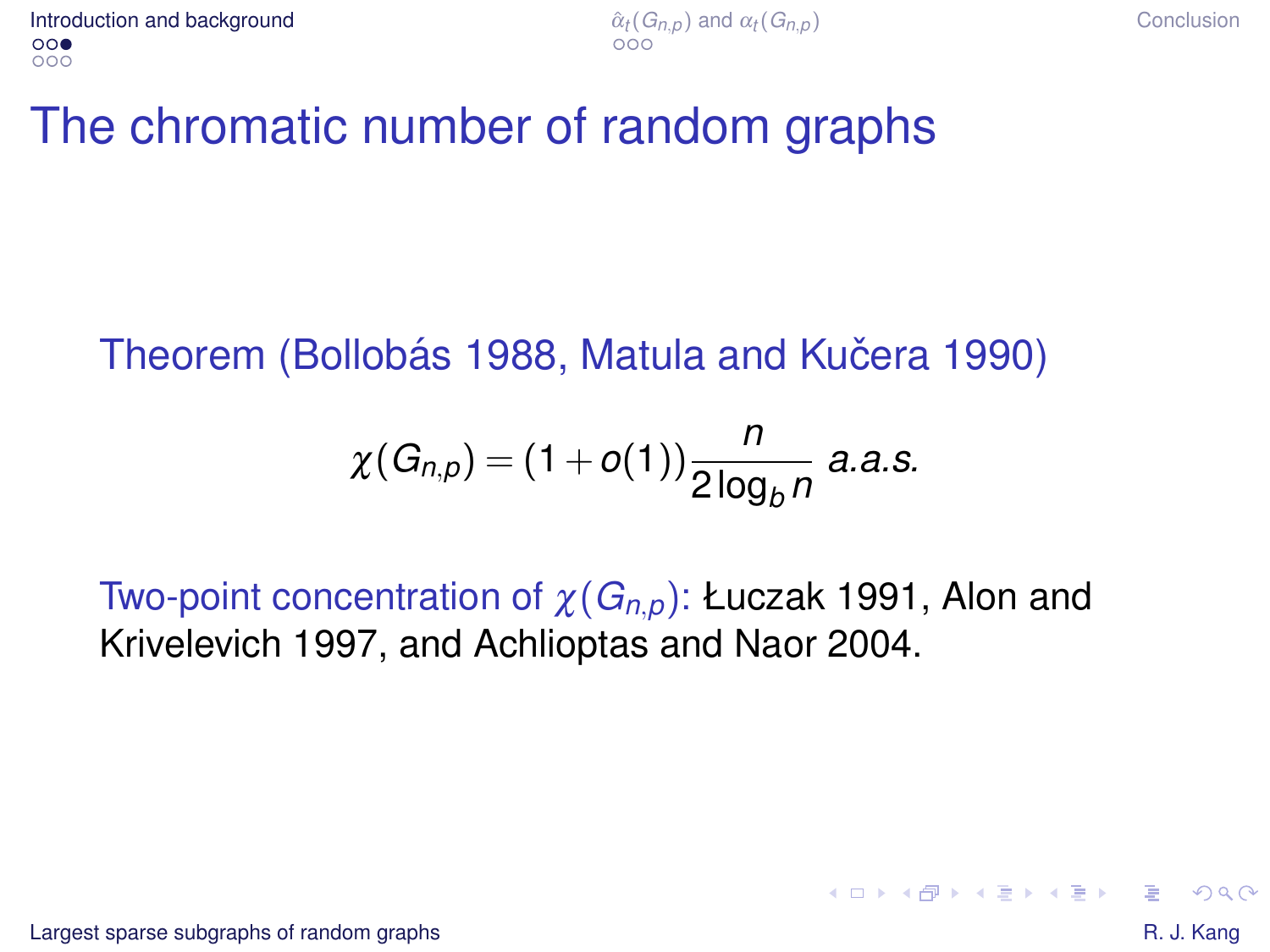# The chromatic number of random graphs

#### Theorem (Bollobás 1988, Matula and Kučera 1990)

$$
\chi(G_{n,p}) = (1+o(1))\frac{n}{2\log_b n} \ a.a.s.
$$

Two-point concentration of χ(*Gn*,*p*): Łuczak 1991, Alon and Krivelevich 1997, and Achlioptas and Naor 2004.

 $\Omega$ 

4 ロ > 4 何 > 4 ミ > 4 ミ > - ミ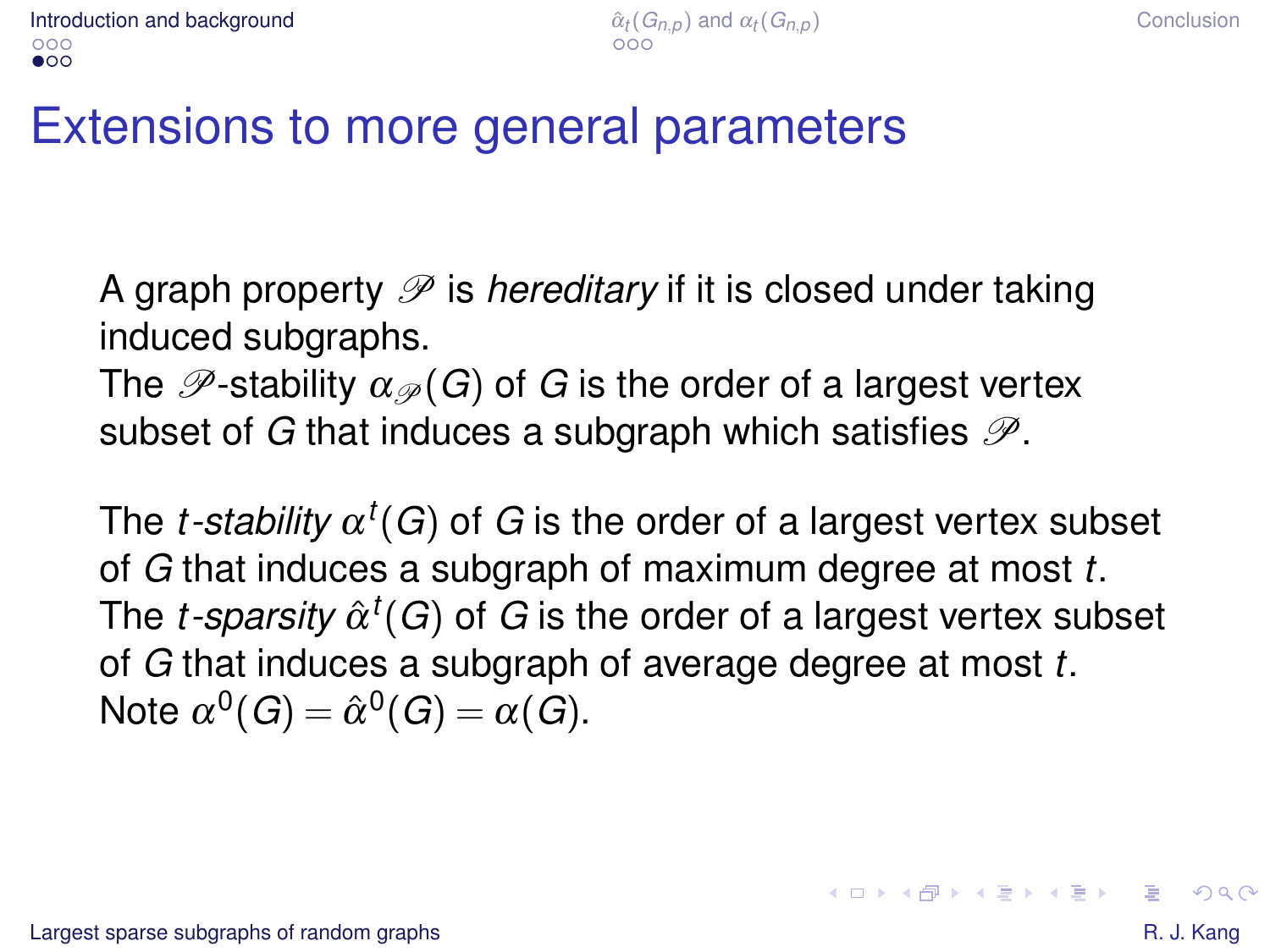A graph property  $\mathscr P$  is *hereditary* if it is closed under taking induced subgraphs.

The  $\mathscr{P}$ -stability  $\alpha_{\mathscr{P}}(G)$  of *G* is the order of a largest vertex subset of *G* that induces a subgraph which satisfies  $\mathcal{P}$ .

The *t-stability*  $\alpha^t(G)$  of  $G$  is the order of a largest vertex subset of *G* that induces a subgraph of maximum degree at most *t*. The *t-sparsity*  $\hat{\alpha}^t(G)$  of  $G$  is the order of a largest vertex subset of *G* that induces a subgraph of average degree at most *t*. Note  $\alpha^0(G) = \hat{\alpha}^0(G) = \alpha(G).$ 

 $QQ$ 

モニー・モン イミン イヨン エミ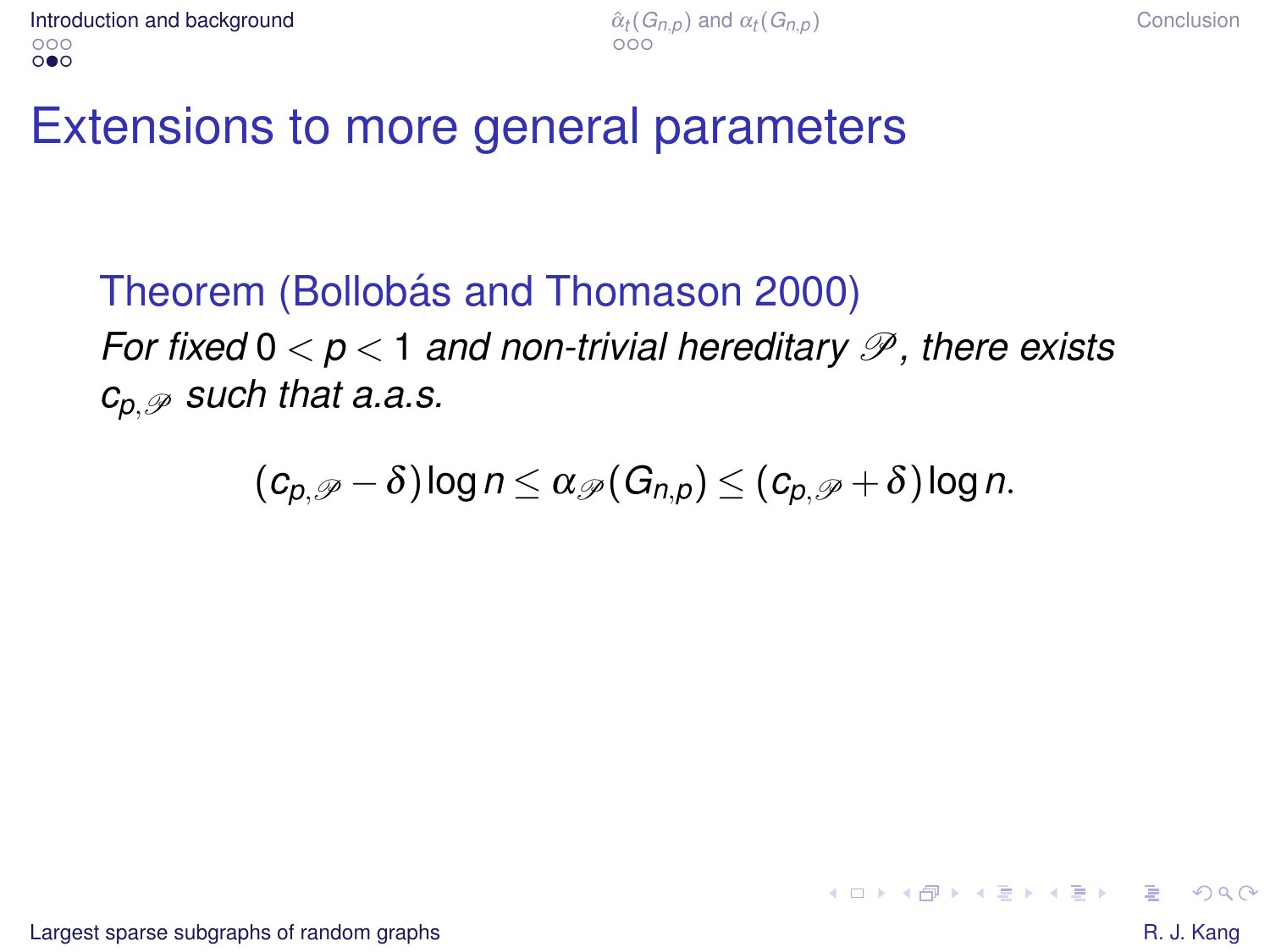Theorem (Bollobás and Thomason 2000) *For fixed*  $0 < p < 1$  *and non-trivial hereditary*  $\mathscr P$ *, there exists*  $c_p \not\supseteq$  *such that a.a.s.* 

$$
(c_{p,\mathscr{P}}-\delta)\log n\leq \alpha_{\mathscr{P}}(G_{n,p})\leq (c_{p,\mathscr{P}}+\delta)\log n.
$$

 $QQ$ 

イロト イ押 トイヨ トイヨ トーヨー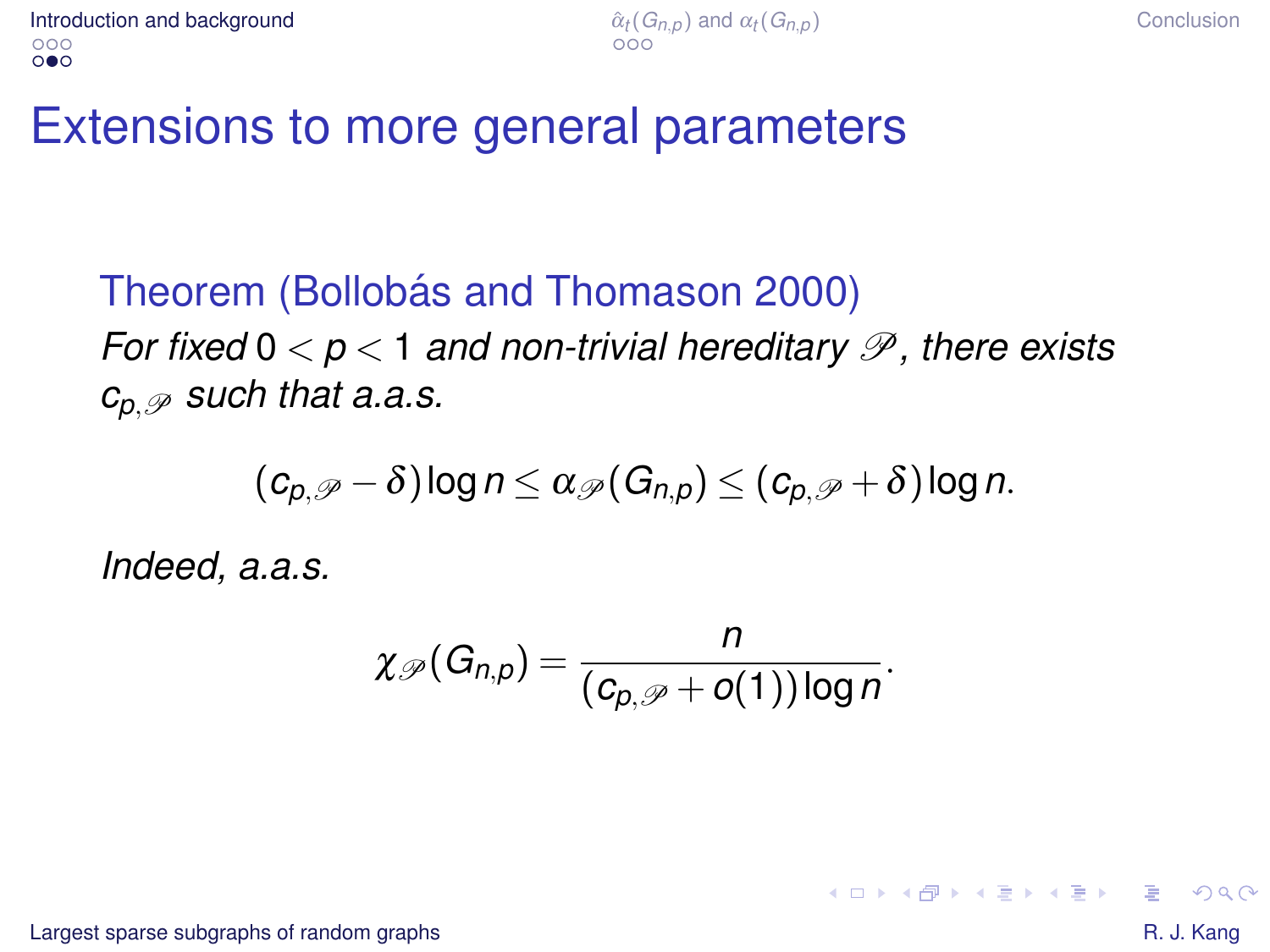Theorem (Bollobás and Thomason 2000) *For fixed*  $0 < p < 1$  *and non-trivial hereditary*  $\mathscr P$ *, there exists*  $c_p \not\supseteq$  *such that a.a.s.* 

$$
(c_{p,\mathscr{P}}-\delta)\log n\leq \alpha_{\mathscr{P}}(G_{n,p})\leq (c_{p,\mathscr{P}}+\delta)\log n.
$$

*Indeed, a.a.s.*

$$
\chi_{\mathscr{P}}(G_{n,p})=\frac{n}{(c_{p,\mathscr{P}}+o(1))\log n}.
$$

[Largest sparse subgraphs of random graphs](#page-0-0)  $\blacksquare$ 

 $QQ$ 

イロン イ押ン イヨン イヨン 一重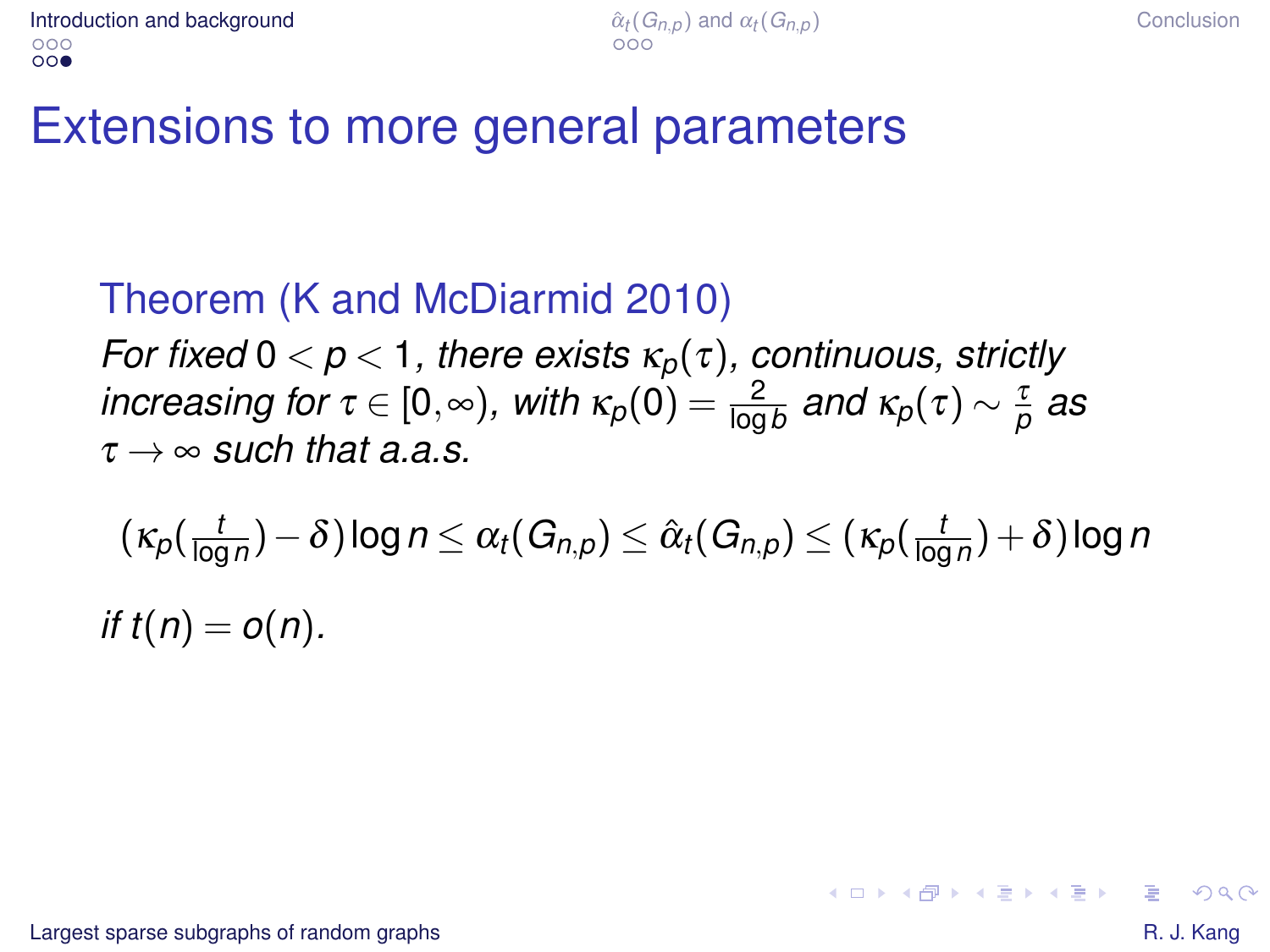#### Theorem (K and McDiarmid 2010)

*For fixed*  $0 < p < 1$ *, there exists*  $\kappa_p(\tau)$ *, continuous, strictly*  $\hat{f}$  *increasing for*  $\tau \in [0,\infty)$ , with  $\kappa_p(0) = \frac{2}{\log b}$  and  $\kappa_p(\tau) \sim \frac{\tau}{p}$  as  $\tau \rightarrow \infty$  *such that a a s*.

 $(\kappa_p(\frac{t}{\log n})$  $\frac{t}{\log n}$ )  $-\delta$  ) log  $n$   $\leq$   $\alpha_t$ (  $G_{n,p}$ )  $\leq$   $\hat{\alpha}_t$ (  $G_{n,p}$ )  $\leq$  (  $\kappa_p$ (  $\frac{t}{\log n}$  $\frac{l}{\log n}) + \delta$  ) log *n if*  $t(n) = o(n)$ .

KID KAP KE KE KE KE YAN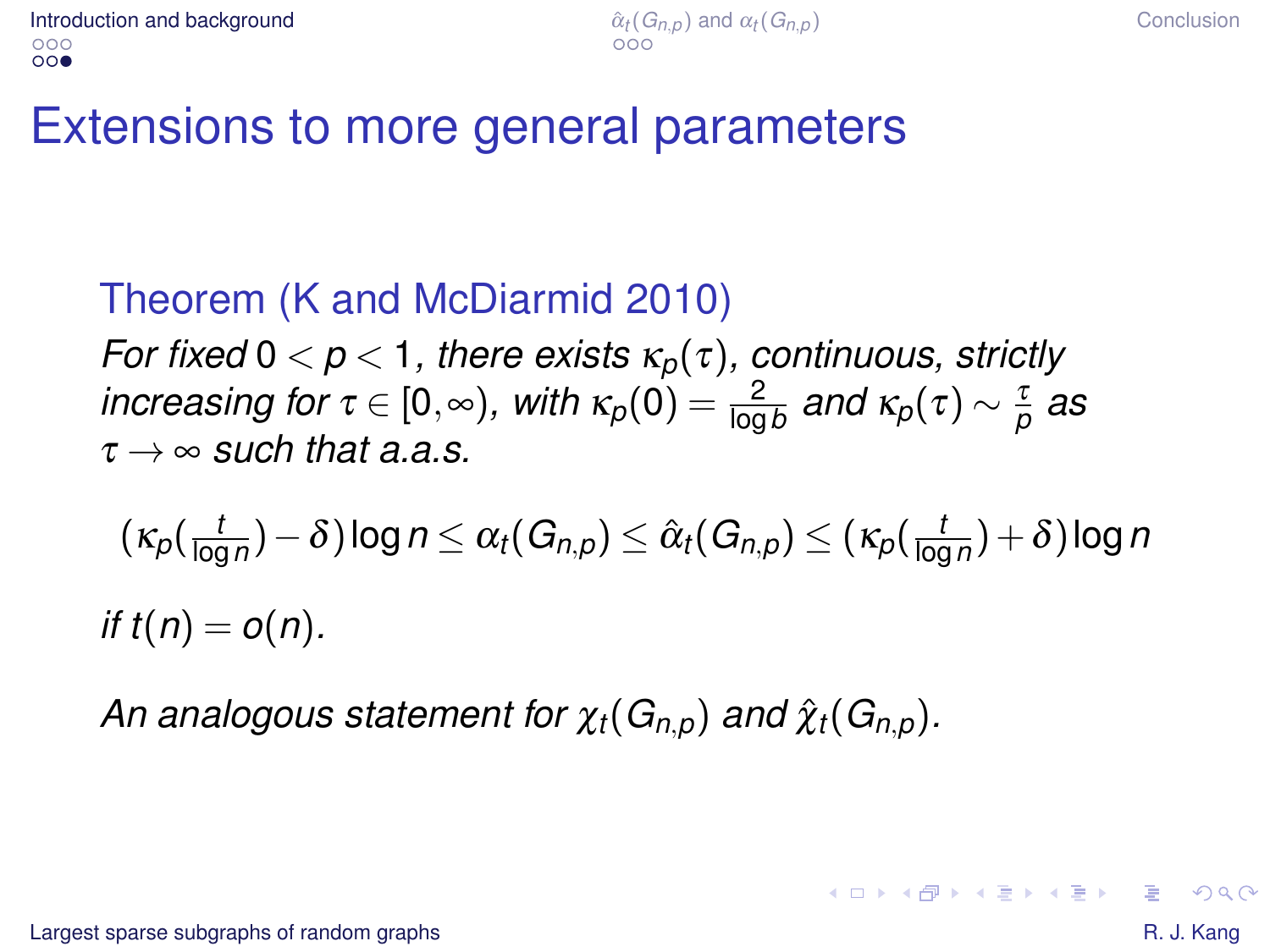#### Theorem (K and McDiarmid 2010)

*For fixed*  $0 < p < 1$ *, there exists*  $\kappa_p(\tau)$ *, continuous, strictly*  $\hat{f}$  *increasing for*  $\tau \in [0,\infty)$ , with  $\kappa_p(0) = \frac{2}{\log b}$  and  $\kappa_p(\tau) \sim \frac{\tau}{p}$  as  $\tau \rightarrow \infty$  *such that a a s*.

$$
(\kappa_p(\tfrac{t}{\log n})-\delta)\log n\leq \alpha_t(G_{n,p})\leq \hat{\alpha}_t(G_{n,p})\leq (\kappa_p(\tfrac{t}{\log n})+\delta)\log n
$$
  
if  $t(n)=o(n)$ .

*An analogous statement for*  $\chi_t(G_{n,p})$  *and*  $\hat{\chi}_t(G_{n,p})$ *.* 

[Largest sparse subgraphs of random graphs](#page-0-0)  $\blacksquare$ 

 $QQQ$ 

4 ロ > 4 何 > 4 ミ > 4 ミ > - ミ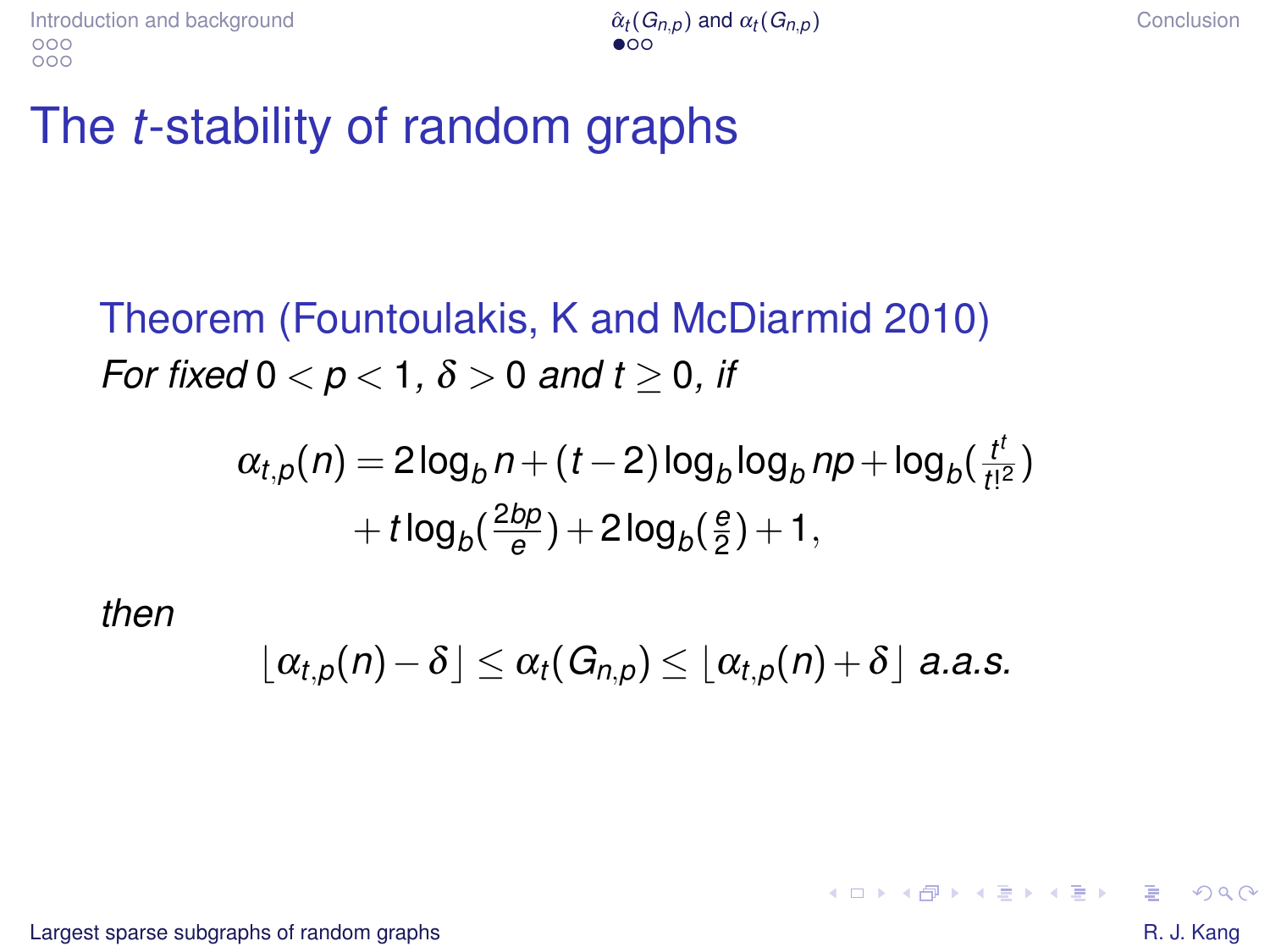## The *t*-stability of random graphs

Theorem (Fountoulakis, K and McDiarmid 2010) *For fixed*  $0 < p < 1$ ,  $\delta > 0$  *and t*  $> 0$ , *if* 

$$
\alpha_{t,p}(n) = 2\log_b n + (t-2)\log_b \log_b np + \log_b(\frac{t^t}{t!^2})
$$

$$
+ t\log_b(\frac{2bp}{e}) + 2\log_b(\frac{e}{2}) + 1,
$$

*then*

$$
\lfloor \alpha_{t,p}(n)-\delta \rfloor \leq \alpha_t(G_{n,p}) \leq \lfloor \alpha_{t,p}(n)+\delta \rfloor \text{ a.a.s.}
$$

[Largest sparse subgraphs of random graphs](#page-0-0)  $\blacksquare$ 

<span id="page-9-0"></span> $2Q$ 

イロン イ押ン イミン イヨン・ヨー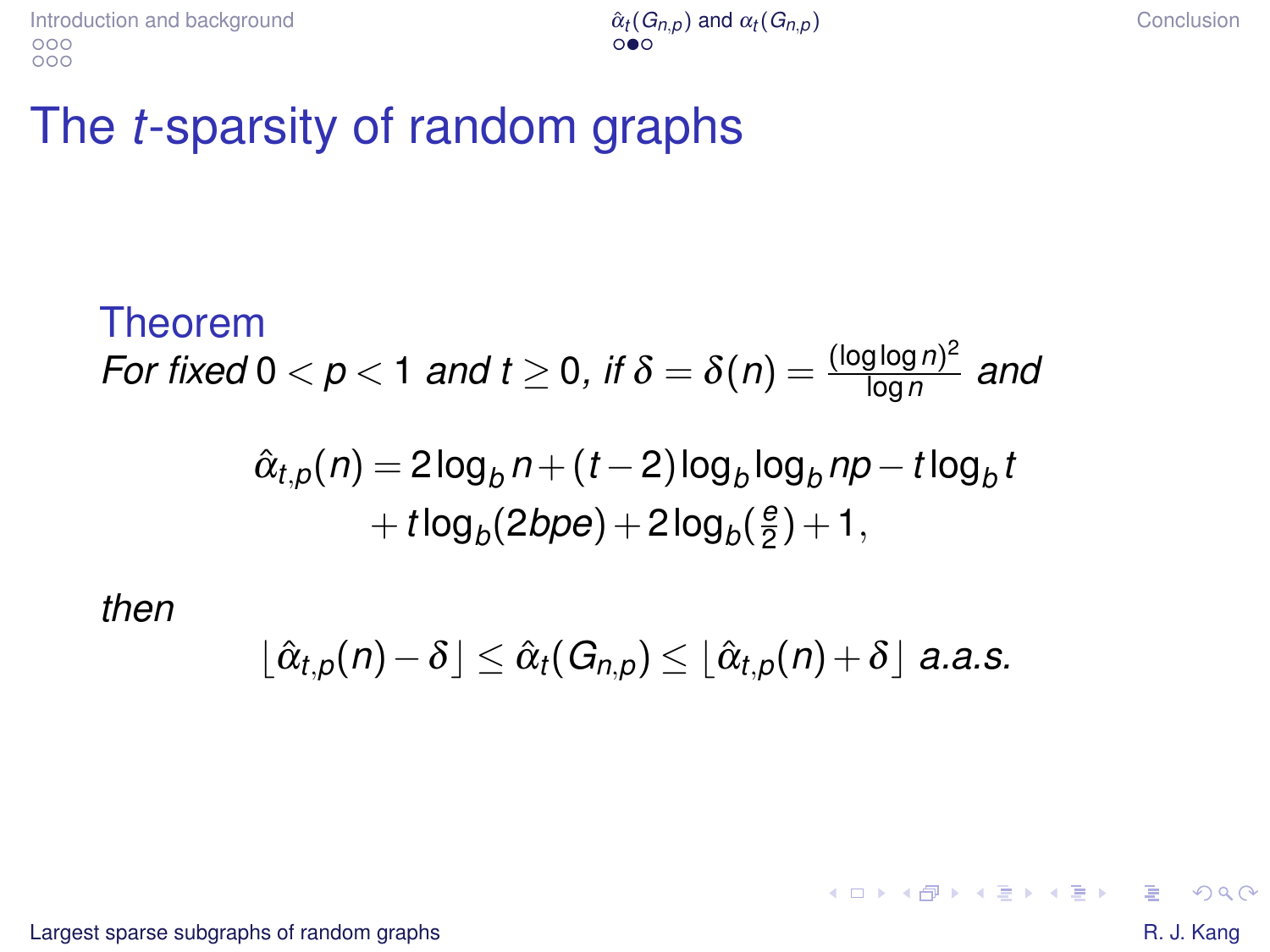### The *t*-sparsity of random graphs

Theorem  
For fixed 0 < p < 1 and t 
$$
\geq
$$
 0, if  $\delta = \delta(n) = \frac{(\log \log n)^2}{\log n}$  and

$$
\hat{\alpha}_{t,p}(n) = 2\log_b n + (t-2)\log_b \log_b np - t\log_b t + t\log_b(2bpe) + 2\log_b(\frac{e}{2}) + 1,
$$

*then*

$$
\lfloor \hat{\alpha}_{t,p}(n)-\delta \rfloor \leq \hat{\alpha}_{t}(G_{n,p}) \leq \lfloor \hat{\alpha}_{t,p}(n)+\delta \rfloor \text{ a.a.s.}
$$

[Largest sparse subgraphs of random graphs](#page-0-0) **Example 3** and the state of the state of the state of the state of the state of the state of the state of the state of the state of the state of the state of the state of the stat

<span id="page-10-0"></span> $299$ 

÷.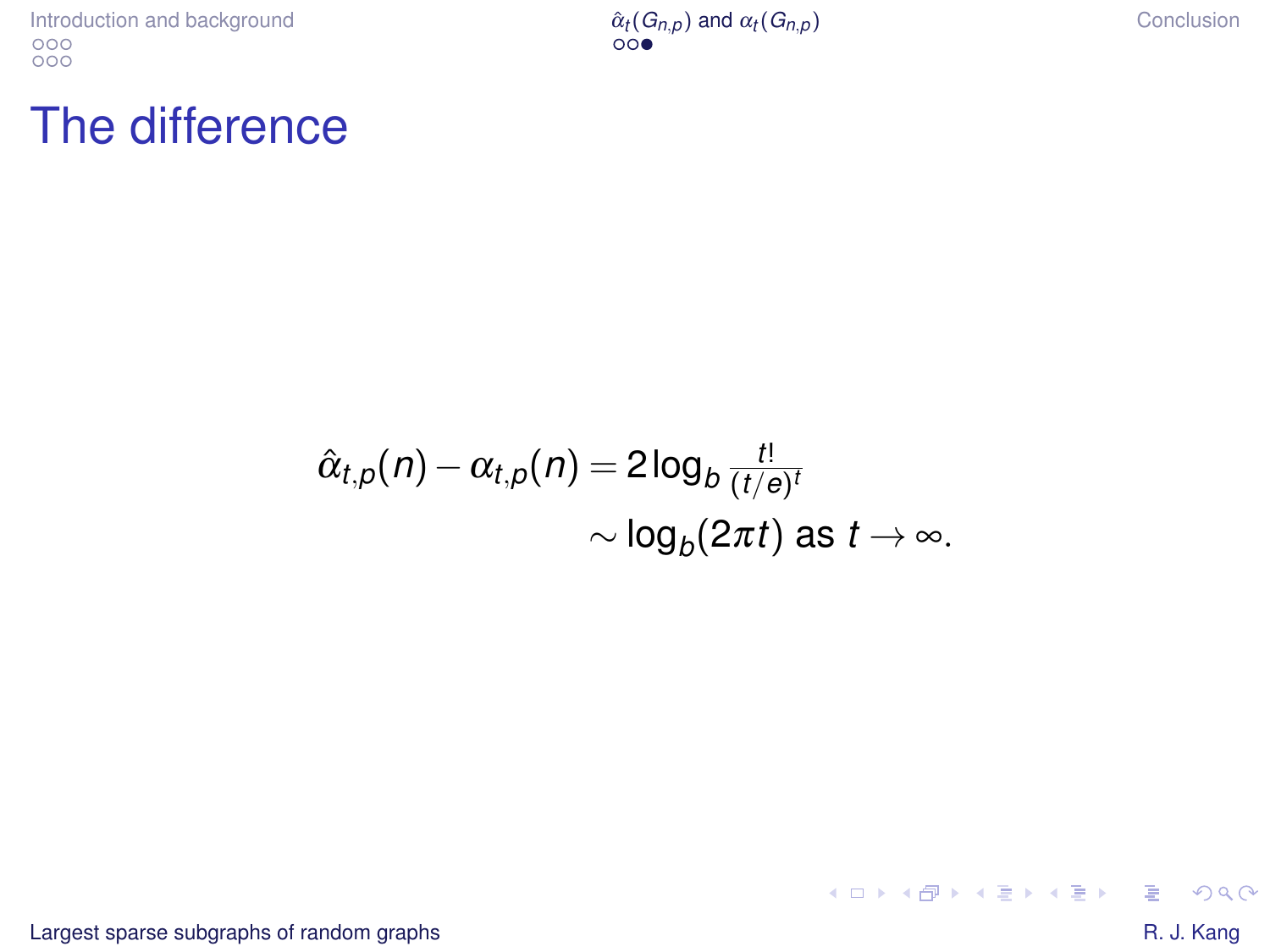[Introduction and background](#page-1-0)<br>
<sup>000</sup><br>
<sup>000</sup>

 $(G_{n,p})$  [and](#page-9-0)  $\alpha_t(G_{n,p})$  [Conclusion](#page-12-0)

#### The difference

$$
\hat{\alpha}_{t,p}(n) - \alpha_{t,p}(n) = 2\log_b \frac{t!}{(t/e)^t}
$$
  
 
$$
\sim \log_b(2\pi t) \text{ as } t \to \infty.
$$

[Largest sparse subgraphs of random graphs](#page-0-0) **Example 2018** Control and the state of the state of the state of the state of the state of the state of the state of the state of the state of the state of the state of the state

 $\mathbb{R}^+$  $299$ 

 $A \cup B$   $A \cup B$   $B \cup A \cup B$   $B \cup A \cup B$